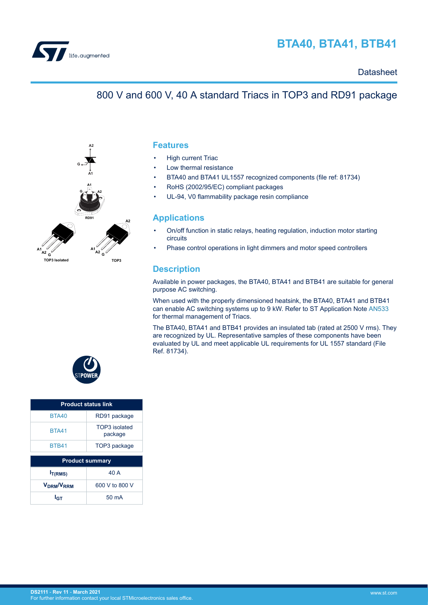

# **BTA40, BTA41, BTB41**

## **Datasheet**

## 800 V and 600 V, 40 A standard Triacs in TOP3 and RD91 package



**Features**

- **High current Triac**
- Low thermal resistance
- BTA40 and BTA41 UL1557 recognized components (file ref: 81734)
- RoHS (2002/95/EC) compliant packages
- UL-94, V0 flammability package resin compliance

### **Applications**

- On/off function in static relays, heating regulation, induction motor starting circuits
- Phase control operations in light dimmers and motor speed controllers

## **Description**

Available in power packages, the BTA40, BTA41 and BTB41 are suitable for general purpose AC switching.

When used with the properly dimensioned heatsink, the BTA40, BTA41 and BTB41 can enable AC switching systems up to 9 kW. Refer to ST Application Note [AN533](https://www.st.com/content/ccc/resource/technical/document/application_note/42/4a/77/9a/f5/58/43/77/CD00004000.pdf/files/CD00004000.pdf/jcr:content/translations/en.CD00004000.pdf) for thermal management of Triacs.

The BTA40, BTA41 and BTB41 provides an insulated tab (rated at 2500 V rms). They are recognized by UL. Representative samples of these components have been evaluated by UL and meet applicable UL requirements for UL 1557 standard (File Ref. 81734).



| <b>Product status link</b>   |                          |  |  |  |
|------------------------------|--------------------------|--|--|--|
| <b>BTA40</b>                 | RD91 package             |  |  |  |
| <b>BTA41</b>                 | TOP3 isolated<br>package |  |  |  |
| <b>BTB41</b>                 | TOP3 package             |  |  |  |
|                              |                          |  |  |  |
|                              | <b>Product summary</b>   |  |  |  |
| I <sub>T(RMS)</sub>          | 40 A                     |  |  |  |
| <b>V<sub>DRM</sub>/V</b> RRM | 600 V to 800 V           |  |  |  |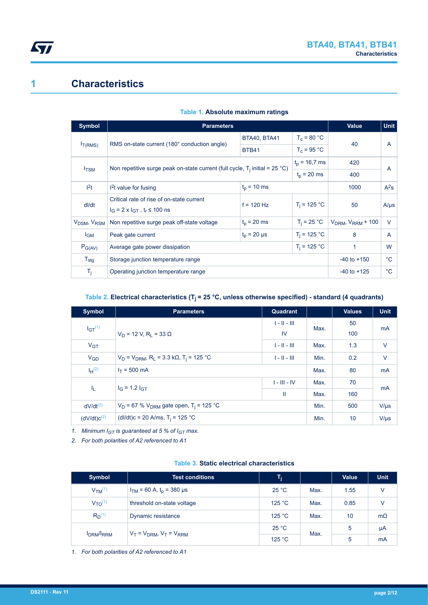# <span id="page-1-0"></span>**1 Characteristics**

| Symbol                              | <b>Parameters</b>                                            | <b>Value</b>                                                                                      | <b>Unit</b>    |                       |              |
|-------------------------------------|--------------------------------------------------------------|---------------------------------------------------------------------------------------------------|----------------|-----------------------|--------------|
|                                     |                                                              | <b>BTA40, BTA41</b>                                                                               | $T_c = 80 °C$  | 40                    | A            |
| $I_{T(RMS)}$                        | RMS on-state current (180° conduction angle)                 | <b>BTB41</b>                                                                                      | $T_c = 95 °C$  |                       |              |
|                                     |                                                              | $t_p = 16,7$ ms                                                                                   | 420            |                       |              |
| $I_{TSM}$                           |                                                              | Non repetitive surge peak on-state current (full cycle, $T_i$ initial = 25 °C)<br>$t_{p}$ = 20 ms |                |                       | A            |
| 1 <sup>2</sup> t                    | $t_p = 10$ ms<br>$12t$ value for fusing                      |                                                                                                   |                | 1000                  | $A^2S$       |
| dl/dt                               | Critical rate of rise of on-state current                    | $f = 120$ Hz                                                                                      | $T_i = 125 °C$ | 50                    | $A/\mu s$    |
|                                     | $I_G = 2 \times I_{GT}$ , $t_r \le 100$ ns                   |                                                                                                   |                |                       |              |
| V <sub>DSM</sub> , V <sub>RSM</sub> | $t_0$ = 20 ms<br>Non repetitive surge peak off-state voltage |                                                                                                   | $T_i = 25 °C$  | $VDRM$ , $VRRM + 100$ | $\vee$       |
| <b>I<sub>GM</sub></b>               | $t_0 = 20 \mu s$<br>Peak gate current                        |                                                                                                   | $T_i = 125 °C$ | 8                     | A            |
| $P_{G(AV)}$                         | Average gate power dissipation                               |                                                                                                   | W              |                       |              |
| $T_{\text{stg}}$                    | Storage junction temperature range                           | $-40$ to $+150$                                                                                   | $^{\circ}$ C   |                       |              |
| T <sub>j</sub>                      | Operating junction temperature range                         |                                                                                                   |                | $-40$ to $+125$       | $^{\circ}$ C |

#### **Table 1. Absolute maximum ratings**

### **Table 2. Electrical characteristics (Tj = 25 °C, unless otherwise specified) - standard (4 quadrants)**

| <b>Symbol</b>    | <b>Parameters</b>                                                    | Quadrant       |      | <b>Values</b> | <b>Unit</b>    |
|------------------|----------------------------------------------------------------------|----------------|------|---------------|----------------|
| $IGT^{(1)}$      |                                                                      | $1 - 11 - 111$ | Max. | 50            | mA             |
|                  | $V_D$ = 12 V, R <sub>1</sub> = 33 $\Omega$                           | <b>IV</b>      |      | 100           |                |
| V <sub>GT</sub>  |                                                                      | $1 - 11 - 111$ | Max. | 1.3           | $\vee$         |
| $V_{GD}$         | $V_D$ = $V_{DRM}$ , R <sub>L</sub> = 3.3 kΩ, T <sub>i</sub> = 125 °C | $1 - 11 - 111$ | Min. | 0.2           | $\vee$         |
| $I_H^{(2)}$      | $I_T = 500$ mA                                                       |                |      | 80            | m <sub>A</sub> |
|                  | $I_G = 1.2 I_{GT}$                                                   | $I - III - IV$ | Max. | 70            | mA             |
| 41               |                                                                      | Ш              | Max. | 160           |                |
| $dV/dt^{(2)}$    | $V_D$ = 67 % $V_{DRM}$ gate open, T <sub>i</sub> = 125 °C            |                |      | 500           | $V/\mu s$      |
| $(dV/dt)c^{(2)}$ | (dl/dt)c = 20 A/ms, $T_i$ = 125 °C                                   |                |      | 10            | $V/\mu s$      |

*1. Minimum IGT is guaranteed at 5 % of IGT max.*

*2. For both polarities of A2 referenced to A1*

#### **Table 3. Static electrical characteristics**

| Symbol                         | <b>Test conditions</b>            | $\mathsf{T}_\mathsf{i}$ |      | <b>Value</b> | <b>Unit</b> |
|--------------------------------|-----------------------------------|-------------------------|------|--------------|-------------|
| V <sub>TM</sub> <sup>(1)</sup> | $I_{TM}$ = 60 A, $t_0$ = 380 µs   | 25 °C                   | Max. | 1.55         | v           |
| $V_{\text{TO}}^{(1)}$          | threshold on-state voltage        | 125 °C                  | Max. | 0.85         | V           |
| $R_D^{(1)}$                    | Dynamic resistance                | 125 °C                  | Max. | 10           | $m\Omega$   |
| <b>IDRM/IRRM</b>               | $V_T = V_{DRM}$ , $V_T = V_{RRM}$ | 25 °C                   | Max. | 5            | μA          |
|                                |                                   | 125 °C                  |      | 5            | mA          |

*1. For both polarities of A2 referenced to A1*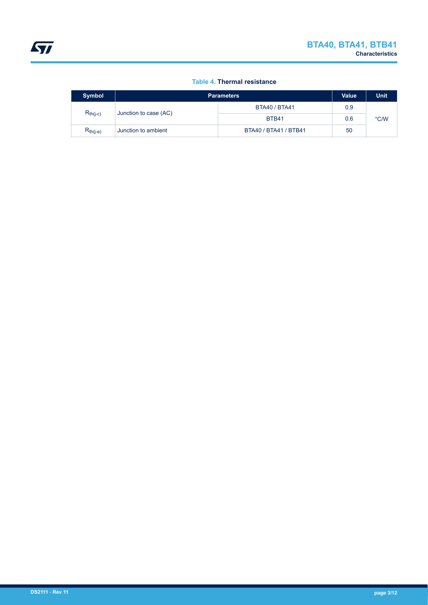### **Table 4. Thermal resistance**

<span id="page-2-0"></span>

| <b>Symbol</b> | <b>Parameters</b>                      | <b>Value</b>          | <b>Unit</b> |      |
|---------------|----------------------------------------|-----------------------|-------------|------|
|               | $R_{th(j-c)}$<br>Junction to case (AC) | <b>BTA40 / BTA41</b>  | 0.9         |      |
|               |                                        | BTB41                 | 0.6         | °C/W |
| $R_{th(j-a)}$ | Junction to ambient                    | BTA40 / BTA41 / BTB41 | 50          |      |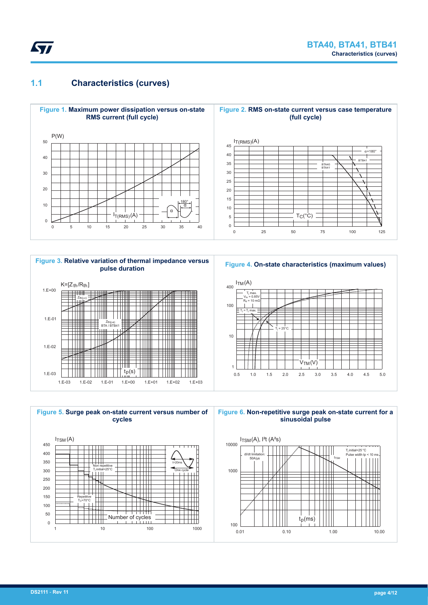<span id="page-3-0"></span>

## **1.1 Characteristics (curves)**













**Figure 6. Non-repetitive surge peak on-state current for a sinusoidal pulse**

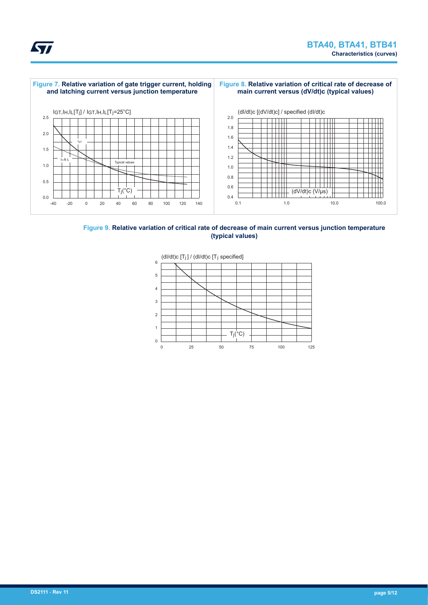



#### **Figure 9. Relative variation of critical rate of decrease of main current versus junction temperature (typical values)**

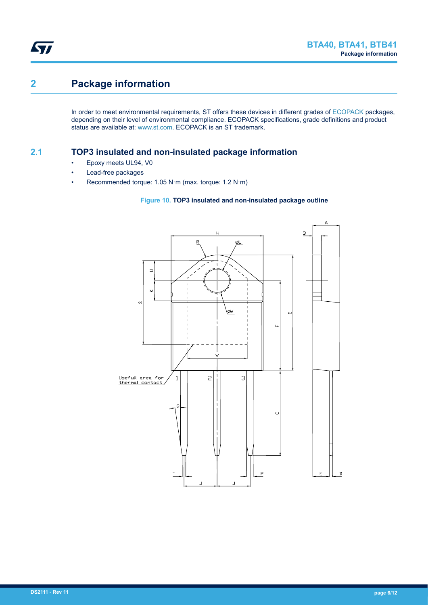# **2 Package information**

In order to meet environmental requirements, ST offers these devices in different grades of [ECOPACK](https://www.st.com/ecopack) packages, depending on their level of environmental compliance. ECOPACK specifications, grade definitions and product status are available at: [www.st.com.](http://www.st.com) ECOPACK is an ST trademark.

## **2.1 TOP3 insulated and non-insulated package information**

- Epoxy meets UL94, V0
- Lead-free packages
- Recommended torque: 1.05 N·m (max. torque: 1.2 N·m)

### **Figure 10. TOP3 insulated and non-insulated package outline**

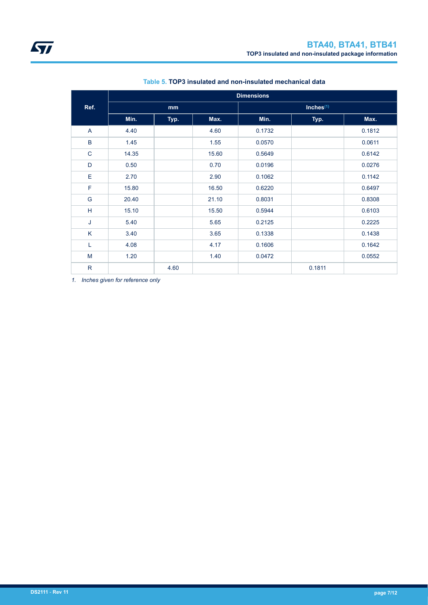|              | <b>Dimensions</b> |      |       |        |              |        |
|--------------|-------------------|------|-------|--------|--------------|--------|
| Ref.         | mm                |      |       |        | Inches $(1)$ |        |
|              | Min.              | Typ. | Max.  | Min.   | Typ.         | Max.   |
| A            | 4.40              |      | 4.60  | 0.1732 |              | 0.1812 |
| B            | 1.45              |      | 1.55  | 0.0570 |              | 0.0611 |
| $\mathsf C$  | 14.35             |      | 15.60 | 0.5649 |              | 0.6142 |
| D            | 0.50              |      | 0.70  | 0.0196 |              | 0.0276 |
| Е            | 2.70              |      | 2.90  | 0.1062 |              | 0.1142 |
| $\mathsf F$  | 15.80             |      | 16.50 | 0.6220 |              | 0.6497 |
| G            | 20.40             |      | 21.10 | 0.8031 |              | 0.8308 |
| H            | 15.10             |      | 15.50 | 0.5944 |              | 0.6103 |
| J            | 5.40              |      | 5.65  | 0.2125 |              | 0.2225 |
| K            | 3.40              |      | 3.65  | 0.1338 |              | 0.1438 |
| L            | 4.08              |      | 4.17  | 0.1606 |              | 0.1642 |
| M            | 1.20              |      | 1.40  | 0.0472 |              | 0.0552 |
| $\mathsf{R}$ |                   | 4.60 |       |        | 0.1811       |        |

### **Table 5. TOP3 insulated and non-insulated mechanical data**

*1. Inches given for reference only*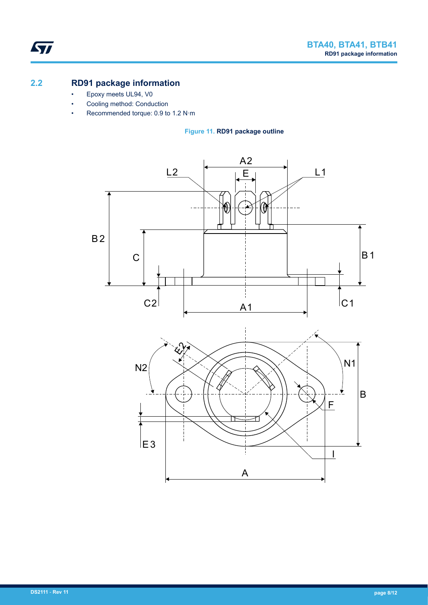## **2.2 RD91 package information**

ST

- Epoxy meets UL94, V0
- Cooling method: Conduction
- Recommended torque: 0.9 to 1.2 N·m

**Figure 11. RD91 package outline**

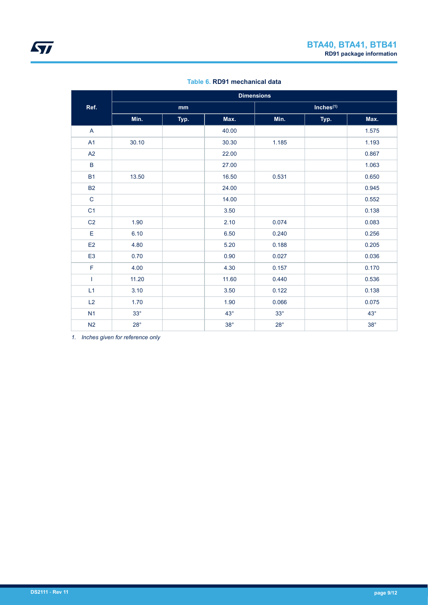|                | <b>Dimensions</b> |      |            |            |                       |            |  |
|----------------|-------------------|------|------------|------------|-----------------------|------------|--|
| Ref.           | mm                |      |            |            | Inches <sup>(1)</sup> |            |  |
|                | Min.              | Typ. | Max.       | Min.       | Typ.                  | Max.       |  |
| $\mathsf{A}$   |                   |      | 40.00      |            |                       | 1.575      |  |
| A1             | 30.10             |      | 30.30      | 1.185      |                       | 1.193      |  |
| A2             |                   |      | 22.00      |            |                       | 0.867      |  |
| $\sf B$        |                   |      | 27.00      |            |                       | 1.063      |  |
| <b>B1</b>      | 13.50             |      | 16.50      | 0.531      |                       | 0.650      |  |
| <b>B2</b>      |                   |      | 24.00      |            |                       | 0.945      |  |
| $\mathsf{C}$   |                   |      | 14.00      |            |                       | 0.552      |  |
| C <sub>1</sub> |                   |      | 3.50       |            |                       | 0.138      |  |
| C <sub>2</sub> | 1.90              |      | 2.10       | 0.074      |                       | 0.083      |  |
| E              | 6.10              |      | 6.50       | 0.240      |                       | 0.256      |  |
| E <sub>2</sub> | 4.80              |      | 5.20       | 0.188      |                       | 0.205      |  |
| E <sub>3</sub> | 0.70              |      | 0.90       | 0.027      |                       | 0.036      |  |
| $\mathsf F$    | 4.00              |      | 4.30       | 0.157      |                       | 0.170      |  |
| T              | 11.20             |      | 11.60      | 0.440      |                       | 0.536      |  |
| L1             | 3.10              |      | 3.50       | 0.122      |                       | 0.138      |  |
| L2             | 1.70              |      | 1.90       | 0.066      |                       | 0.075      |  |
| N1             | $33^\circ$        |      | $43^\circ$ | $33^\circ$ |                       | $43^\circ$ |  |
| N <sub>2</sub> | $28^\circ$        |      | $38^\circ$ | $28^\circ$ |                       | $38^\circ$ |  |

### **Table 6. RD91 mechanical data**

*1. Inches given for reference only*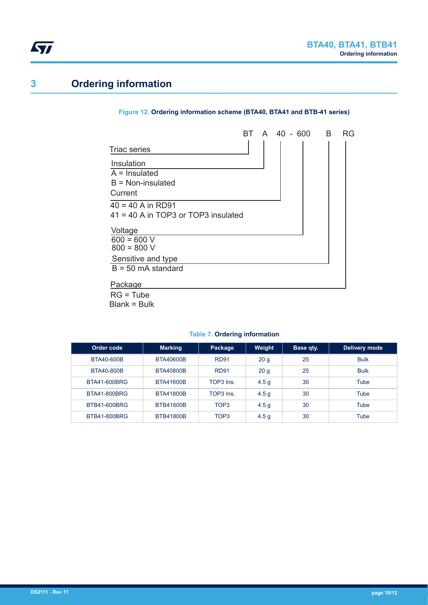# <span id="page-9-0"></span>**3 Ordering information**

#### **Figure 12. Ordering information scheme (BTA40, BTA41 and BTB-41 series)**



Blank = Bulk

## **Table 7. Ordering information**

| Order code          | <b>Marking</b>   | Package          | Weight           | <b>Base qty.</b> | Delivery mode |
|---------------------|------------------|------------------|------------------|------------------|---------------|
| BTA40-600B          | BTA40600B        | <b>RD91</b>      | 20 <sub>g</sub>  | 25               | <b>Bulk</b>   |
| BTA40-800B          | BTA40800B        | <b>RD91</b>      | 20 <sub>g</sub>  | 25               | <b>Bulk</b>   |
| BTA41-600BRG        | BTA41600B        | TOP3 Ins         | 4.5 <sub>g</sub> | 30               | Tube          |
| <b>BTA41-800BRG</b> | <b>BTA41800B</b> | TOP3 Ins.        | 4.5 <sub>g</sub> | 30               | Tube          |
| BTB41-600BRG        | BTB41600B        | TOP3             | 4.5q             | 30               | Tube          |
| BTB41-800BRG        | <b>BTB41800B</b> | TOP <sub>3</sub> | 4.5 <sub>g</sub> | 30               | Tube          |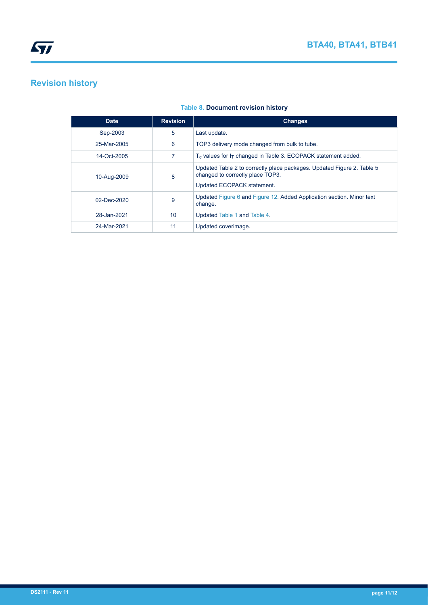# **Revision history**

| <b>Date</b> | <b>Revision</b> | <b>Changes</b>                                                                                                                           |
|-------------|-----------------|------------------------------------------------------------------------------------------------------------------------------------------|
| Sep-2003    | 5               | Last update.                                                                                                                             |
| 25-Mar-2005 | 6               | TOP3 delivery mode changed from bulk to tube.                                                                                            |
| 14-Oct-2005 |                 | $T_c$ values for $I_T$ changed in Table 3. ECOPACK statement added.                                                                      |
| 10-Aug-2009 | 8               | Updated Table 2 to correctly place packages. Updated Figure 2. Table 5<br>changed to correctly place TOP3.<br>Updated ECOPACK statement. |
| 02-Dec-2020 | 9               | Updated Figure 6 and Figure 12. Added Application section. Minor text<br>change.                                                         |
| 28-Jan-2021 | 10              | Updated Table 1 and Table 4.                                                                                                             |
| 24-Mar-2021 | 11              | Updated coverimage.                                                                                                                      |

### **Table 8. Document revision history**